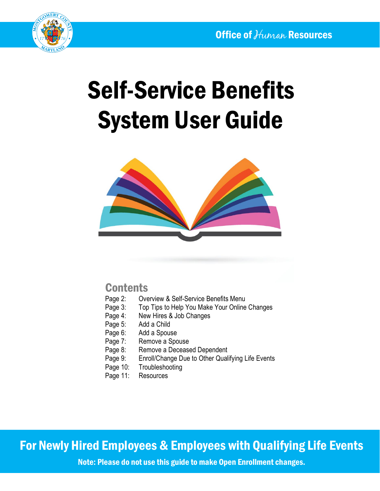

# Self-Service Benefits System User Guide



## **Contents**

- Page 2: Overview & Self-Service Benefits Menu<br>Page 3: Top Tips to Help You Make Your Online
- Top Tips to Help You Make Your Online Changes
- Page 4: New Hires & Job Changes
- Page 5: Add a Child
- Page 6: Add a Spouse
- Page 7: Remove a Spouse
- Page 8: Remove a Deceased Dependent
- Page 9: Enroll/Change Due to Other Qualifying Life Events
- Page 10: Troubleshooting
- Page 11: Resources

For Newly Hired Employees & Employees with Qualifying Life Events

Note: Please do not use this guide to make Open Enrollment changes.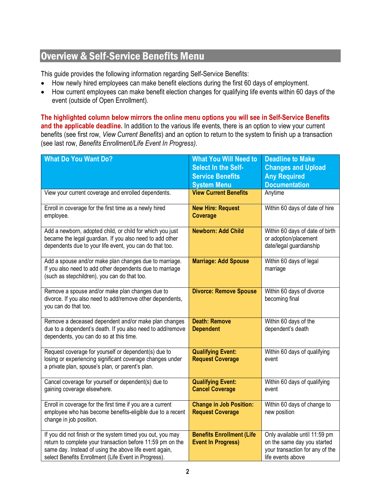## Overview & Self-Service Benefits Menu

This guide provides the following information regarding Self-Service Benefits:

- How newly hired employees can make benefit elections during the first 60 days of employment.
- How current employees can make benefit election changes for qualifying life events within 60 days of the event (outside of Open Enrollment).

**The highlighted column below mirrors the online menu options you will see in Self-Service Benefits and the applicable deadline.** In addition to the various life events, there is an option to view your current benefits (see first row, *View Current Benefits*) and an option to return to the system to finish up a transaction (see last row, *Benefits Enrollment/Life Event In Progress)*.

| <b>What Do You Want Do?</b>                                                                                                                                                                                                                | <b>What You Will Need to</b><br>Select In the Self-<br><b>Service Benefits</b> | <b>Deadline to Make</b><br><b>Changes and Upload</b><br><b>Any Required</b>                                          |
|--------------------------------------------------------------------------------------------------------------------------------------------------------------------------------------------------------------------------------------------|--------------------------------------------------------------------------------|----------------------------------------------------------------------------------------------------------------------|
|                                                                                                                                                                                                                                            | <b>System Menu</b>                                                             | <b>Documentation</b>                                                                                                 |
| View your current coverage and enrolled dependents.                                                                                                                                                                                        | <b>View Current Benefits</b>                                                   | Anytime                                                                                                              |
| Enroll in coverage for the first time as a newly hired<br>employee.                                                                                                                                                                        | <b>New Hire: Request</b><br><b>Coverage</b>                                    | Within 60 days of date of hire                                                                                       |
| Add a newborn, adopted child, or child for which you just<br>became the legal guardian. If you also need to add other<br>dependents due to your life event, you can do that too.                                                           | <b>Newborn: Add Child</b>                                                      | Within 60 days of date of birth<br>or adoption/placement<br>date/legal guardianship                                  |
| Add a spouse and/or make plan changes due to marriage.<br>If you also need to add other dependents due to marriage<br>(such as stepchildren), you can do that too.                                                                         | <b>Marriage: Add Spouse</b>                                                    | Within 60 days of legal<br>marriage                                                                                  |
| Remove a spouse and/or make plan changes due to<br>divorce. If you also need to add/remove other dependents,<br>you can do that too.                                                                                                       | <b>Divorce: Remove Spouse</b>                                                  | Within 60 days of divorce<br>becoming final                                                                          |
| Remove a deceased dependent and/or make plan changes<br>due to a dependent's death. If you also need to add/remove<br>dependents, you can do so at this time.                                                                              | <b>Death: Remove</b><br><b>Dependent</b>                                       | Within 60 days of the<br>dependent's death                                                                           |
| Request coverage for yourself or dependent(s) due to<br>losing or experiencing significant coverage changes under<br>a private plan, spouse's plan, or parent's plan.                                                                      | <b>Qualifying Event:</b><br><b>Request Coverage</b>                            | Within 60 days of qualifying<br>event                                                                                |
| Cancel coverage for yourself or dependent(s) due to<br>gaining coverage elsewhere.                                                                                                                                                         | <b>Qualifying Event:</b><br><b>Cancel Coverage</b>                             | Within 60 days of qualifying<br>event                                                                                |
| Enroll in coverage for the first time if you are a current<br>employee who has become benefits-eligible due to a recent<br>change in job position.                                                                                         | <b>Change in Job Position:</b><br><b>Request Coverage</b>                      | Within 60 days of change to<br>new position                                                                          |
| If you did not finish or the system timed you out, you may<br>return to complete your transaction before 11:59 pm on the<br>same day. Instead of using the above life event again,<br>select Benefits Enrollment (Life Event in Progress). | <b>Benefits Enrollment (Life</b><br><b>Event In Progress)</b>                  | Only available until 11:59 pm<br>on the same day you started<br>your transaction for any of the<br>life events above |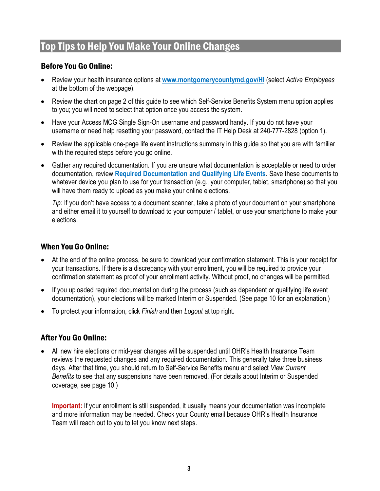## Top Tips to Help You Make Your Online Changes

#### Before You Go Online:

- Review your health insurance options at **[www.montgomerycountymd.gov/HI](http://www.montgomerycountymd.gov/HI)** (select *Active Employees* at the bottom of the webpage).
- Review the chart on page 2 of this guide to see which Self-Service Benefits System menu option applies to you; you will need to select that option once you access the system.
- Have your Access MCG Single Sign-On username and password handy. If you do not have your username or need help resetting your password, contact the IT Help Desk at 240-777-2828 (option 1).
- Review the applicable one-page life event instructions summary in this guide so that you are with familiar with the required steps before you go online.
- Gather any required documentation. If you are unsure what documentation is acceptable or need to order documentation, review **[Required Documentation and Qualifying Life Events](https://www.montgomerycountymd.gov/HR/Resources/Files/Benefits/Required%20Documentation%20ONGOING%20FINAL.pdf)**. Save these documents to whatever device you plan to use for your transaction (e.g., your computer, tablet, smartphone) so that you will have them ready to upload as you make your online elections.

*Tip:* If you don't have access to a document scanner, take a photo of your document on your smartphone and either email it to yourself to download to your computer / tablet, or use your smartphone to make your elections.

#### When You Go Online:

- At the end of the online process, be sure to download your confirmation statement. This is your receipt for your transactions. If there is a discrepancy with your enrollment, you will be required to provide your confirmation statement as proof of your enrollment activity. Without proof, no changes will be permitted.
- If you uploaded required documentation during the process (such as dependent or qualifying life event documentation), your elections will be marked Interim or Suspended. (See page 10 for an explanation.)
- To protect your information, click *Finish* and then *Logout* at top right.

#### After You Go Online:

• All new hire elections or mid-year changes will be suspended until OHR's Health Insurance Team reviews the requested changes and any required documentation. This generally take three business days. After that time, you should return to Self-Service Benefits menu and select *View Current Benefits* to see that any suspensions have been removed. (For details about Interim or Suspended coverage, see page 10.)

**Important:** If your enrollment is still suspended, it usually means your documentation was incomplete and more information may be needed. Check your County email because OHR's Health Insurance Team will reach out to you to let you know next steps.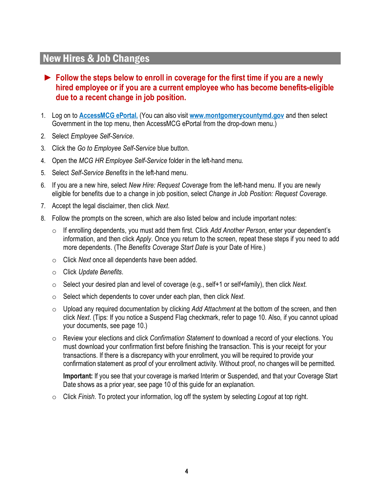## New Hires & Job Changes

#### ► **Follow the steps below to enroll in coverage for the first time if you are a newly hired employee or if you are a current employee who has become benefits-eligible due to a recent change in job position.**

- 1. Log on to **[AccessMCG ePortal.](https://ex01.montgomerycountymd.gov/cas/login?service=https%3a%2f%2fex01.montgomerycountymd.gov%2feportal)** (You can also visit **[www.montgomerycountymd.gov](http://www.montgomerycountymd.gov/)** and then select Government in the top menu, then AccessMCG ePortal from the drop-down menu.)
- 2. Select *Employee Self-Service*.
- 3. Click the *Go to Employee Self-Service* blue button.
- 4. Open the *MCG HR Employee Self-Service* folder in the left-hand menu.
- 5. Select *Self-Service Benefits* in the left-hand menu.
- 6. If you are a new hire, select *New Hire: Request Coverage* from the left-hand menu. If you are newly eligible for benefits due to a change in job position, select *Change in Job Position: Request Coverage*.
- 7. Accept the legal disclaimer, then click *Next*.
- 8. Follow the prompts on the screen, which are also listed below and include important notes:
	- o If enrolling dependents, you must add them first. Click *Add Another Person*, enter your dependent's information, and then click *Apply*. Once you return to the screen, repeat these steps if you need to add more dependents. (The *Benefits Coverage Start Date* is your Date of Hire.)
	- o Click *Next* once all dependents have been added.
	- o Click *Update Benefits*.
	- o Select your desired plan and level of coverage (e.g., self+1 or self+family), then click *Next*.
	- o Select which dependents to cover under each plan, then click *Next*.
	- o Upload any required documentation by clicking *Add Attachment* at the bottom of the screen, and then click *Next*. (Tips: If you notice a Suspend Flag checkmark, refer to page 10. Also, if you cannot upload your documents, see page 10.)
	- o Review your elections and click *Confirmation Statement* to download a record of your elections. You must download your confirmation first before finishing the transaction. This is your receipt for your transactions. If there is a discrepancy with your enrollment, you will be required to provide your confirmation statement as proof of your enrollment activity. Without proof, no changes will be permitted.

**Important:** If you see that your coverage is marked Interim or Suspended, and that your Coverage Start Date shows as a prior year, see page 10 of this guide for an explanation.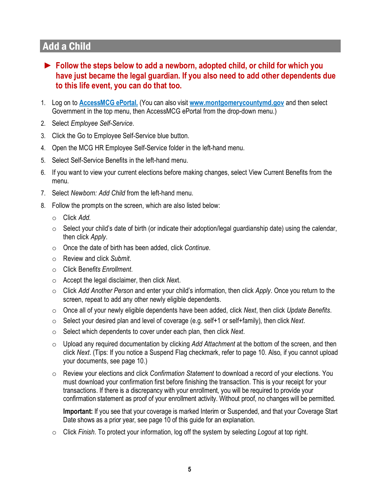## Add a Child

- ► **Follow the steps below to add a newborn, adopted child, or child for which you have just became the legal guardian. If you also need to add other dependents due to this life event, you can do that too.**
- 1. Log on to **[AccessMCG ePortal.](https://ex01.montgomerycountymd.gov/cas/login?service=https%3a%2f%2fex01.montgomerycountymd.gov%2feportal)** (You can also visit **[www.montgomerycountymd.gov](http://www.montgomerycountymd.gov/)** and then select Government in the top menu, then AccessMCG ePortal from the drop-down menu.)
- 2. Select *Employee Self-Service*.
- 3. Click the Go to Employee Self-Service blue button.
- 4. Open the MCG HR Employee Self-Service folder in the left-hand menu.
- 5. Select Self-Service Benefits in the left-hand menu.
- 6. If you want to view your current elections before making changes, select View Current Benefits from the menu.
- 7. Select *Newborn: Add Child* from the left-hand menu.
- 8. Follow the prompts on the screen, which are also listed below:
	- o Click *Add.*
	- o Select your child's date of birth (or indicate their adoption/legal guardianship date) using the calendar, then click *Apply*.
	- o Once the date of birth has been added, click *Continue*.
	- o Review and click *Submit*.
	- o Click B*enefits Enrollment*.
	- o Accept the legal disclaimer, then click *Nex*t.
	- o Click *Add Another Person* and enter your child's information, then click *Apply*. Once you return to the screen, repeat to add any other newly eligible dependents.
	- o Once all of your newly eligible dependents have been added, click *Next*, then click *Update Benefits*.
	- o Select your desired plan and level of coverage (e.g. self+1 or self+family), then click *Next*.
	- o Select which dependents to cover under each plan, then click *Next*.
	- o Upload any required documentation by clicking *Add Attachment* at the bottom of the screen, and then click *Next*. (Tips: If you notice a Suspend Flag checkmark, refer to page 10. Also, if you cannot upload your documents, see page 10.)
	- o Review your elections and click *Confirmation Statement* to download a record of your elections. You must download your confirmation first before finishing the transaction. This is your receipt for your transactions. If there is a discrepancy with your enrollment, you will be required to provide your confirmation statement as proof of your enrollment activity. Without proof, no changes will be permitted.

**Important:** If you see that your coverage is marked Interim or Suspended, and that your Coverage Start Date shows as a prior year, see page 10 of this guide for an explanation.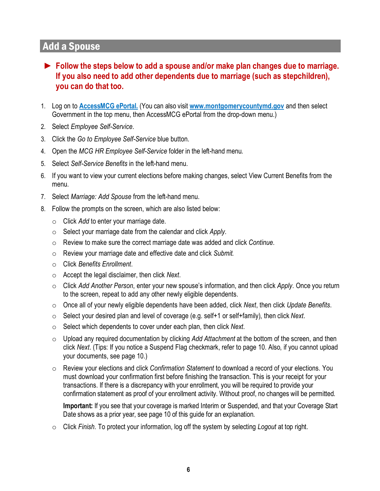## Add a Spouse

- ► **Follow the steps below to add a spouse and/or make plan changes due to marriage. If you also need to add other dependents due to marriage (such as stepchildren), you can do that too.**
- 1. Log on to **[AccessMCG ePortal.](https://ex01.montgomerycountymd.gov/cas/login?service=https%3a%2f%2fex01.montgomerycountymd.gov%2feportal)** (You can also visit **[www.montgomerycountymd.gov](http://www.montgomerycountymd.gov/)** and then select Government in the top menu, then AccessMCG ePortal from the drop-down menu.)
- 2. Select *Employee Self-Service*.
- 3. Click the *Go to Employee Self-Service* blue button.
- 4. Open the *MCG HR Employee Self-Service* folder in the left-hand menu.
- 5. Select *Self-Service Benefits* in the left-hand menu.
- 6. If you want to view your current elections before making changes, select View Current Benefits from the menu.
- 7. Select *Marriage: Add Spouse* from the left-hand menu.
- 8. Follow the prompts on the screen, which are also listed below:
	- o Click *Add* to enter your marriage date.
	- o Select your marriage date from the calendar and click *Apply.*
	- o Review to make sure the correct marriage date was added and click *Continue*.
	- o Review your marriage date and effective date and click *Submit.*
	- o Click *Benefits Enrollment*.
	- o Accept the legal disclaimer, then click *Next*.
	- o Click *Add Another Person*, enter your new spouse's information, and then click *Apply*. Once you return to the screen, repeat to add any other newly eligible dependents.
	- o Once all of your newly eligible dependents have been added, click *Next*, then click *Update Benefits*.
	- o Select your desired plan and level of coverage (e.g. self+1 or self+family), then click *Next*.
	- o Select which dependents to cover under each plan, then click *Next*.
	- o Upload any required documentation by clicking *Add Attachment* at the bottom of the screen, and then click *Next*. (Tips: If you notice a Suspend Flag checkmark, refer to page 10. Also, if you cannot upload your documents, see page 10.)
	- o Review your elections and click *Confirmation Statement* to download a record of your elections. You must download your confirmation first before finishing the transaction. This is your receipt for your transactions. If there is a discrepancy with your enrollment, you will be required to provide your confirmation statement as proof of your enrollment activity. Without proof, no changes will be permitted.

**Important:** If you see that your coverage is marked Interim or Suspended, and that your Coverage Start Date shows as a prior year, see page 10 of this guide for an explanation.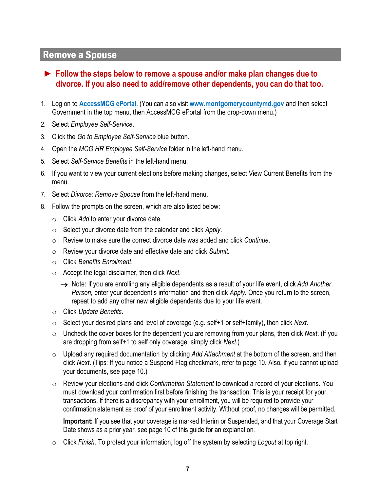#### Remove a Spouse

- ► **Follow the steps below to remove a spouse and/or make plan changes due to divorce. If you also need to add/remove other dependents, you can do that too.**
- 1. Log on to **[AccessMCG ePortal.](https://ex01.montgomerycountymd.gov/cas/login?service=https%3a%2f%2fex01.montgomerycountymd.gov%2feportal)** (You can also visit **[www.montgomerycountymd.gov](http://www.montgomerycountymd.gov/)** and then select Government in the top menu, then AccessMCG ePortal from the drop-down menu.)
- 2. Select *Employee Self-Service*.
- 3. Click the *Go to Employee Self-Service* blue button.
- 4. Open the *MCG HR Employee Self-Service* folder in the left-hand menu.
- 5. Select *Self-Service Benefits* in the left-hand menu.
- 6. If you want to view your current elections before making changes, select View Current Benefits from the menu.
- 7. Select *Divorce: Remove Spouse* from the left-hand menu.
- 8. Follow the prompts on the screen, which are also listed below:
	- o Click *Add* to enter your divorce date.
	- o Select your divorce date from the calendar and click *Apply*.
	- o Review to make sure the correct divorce date was added and click *Continue*.
	- o Review your divorce date and effective date and click *Submit*.
	- o Click *Benefits Enrollment*.
	- o Accept the legal disclaimer, then click *Next*.
		- → Note: If you are enrolling any eligible dependents as a result of your life event, click *Add Another Person*, enter your dependent's information and then click *Apply*. Once you return to the screen, repeat to add any other new eligible dependents due to your life event.
	- o Click *Update Benefits*.
	- o Select your desired plans and level of coverage (e.g. self+1 or self+family), then click *Next*.
	- o Uncheck the cover boxes for the dependent you are removing from your plans, then click *Next*. (If you are dropping from self+1 to self only coverage, simply click *Next*.)
	- o Upload any required documentation by clicking *Add Attachment* at the bottom of the screen, and then click *Next*. (Tips: If you notice a Suspend Flag checkmark, refer to page 10. Also, if you cannot upload your documents, see page 10.)
	- o Review your elections and click *Confirmation Statement* to download a record of your elections. You must download your confirmation first before finishing the transaction. This is your receipt for your transactions. If there is a discrepancy with your enrollment, you will be required to provide your confirmation statement as proof of your enrollment activity. Without proof, no changes will be permitted.

**Important:** If you see that your coverage is marked Interim or Suspended, and that your Coverage Start Date shows as a prior year, see page 10 of this guide for an explanation.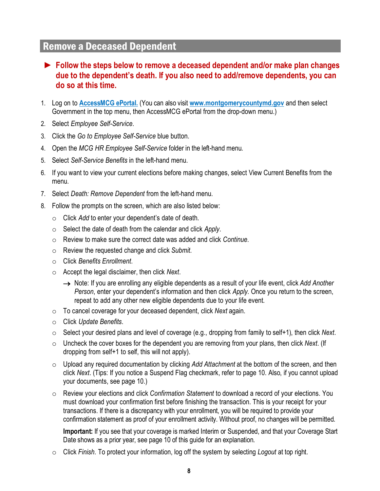### Remove a Deceased Dependent

- ► **Follow the steps below to remove a deceased dependent and/or make plan changes due to the dependent's death. If you also need to add/remove dependents, you can do so at this time.**
- 1. Log on to **[AccessMCG ePortal.](https://ex01.montgomerycountymd.gov/cas/login?service=https%3a%2f%2fex01.montgomerycountymd.gov%2feportal)** (You can also visit **[www.montgomerycountymd.gov](http://www.montgomerycountymd.gov/)** and then select Government in the top menu, then AccessMCG ePortal from the drop-down menu.)
- 2. Select *Employee Self-Service*.
- 3. Click the *Go to Employee Self-Service* blue button.
- 4. Open the *MCG HR Employee Self-Service* folder in the left-hand menu.
- 5. Select *Self-Service Benefits* in the left-hand menu.
- 6. If you want to view your current elections before making changes, select View Current Benefits from the menu.
- 7. Select *Death: Remove Dependent* from the left-hand menu.
- 8. Follow the prompts on the screen, which are also listed below:
	- o Click *Add* to enter your dependent's date of death.
	- o Select the date of death from the calendar and click *Apply*.
	- o Review to make sure the correct date was added and click *Continue*.
	- o Review the requested change and click *Submit.*
	- o Click *Benefits Enrollment*.
	- o Accept the legal disclaimer, then click *Next*.
		- → Note: If you are enrolling any eligible dependents as a result of your life event, click *Add Another Person*, enter your dependent's information and then click *Apply*. Once you return to the screen, repeat to add any other new eligible dependents due to your life event.
	- o To cancel coverage for your deceased dependent, click *Next* again.
	- o Click *Update Benefits*.
	- o Select your desired plans and level of coverage (e.g., dropping from family to self+1), then click *Next*.
	- o Uncheck the cover boxes for the dependent you are removing from your plans, then click *Next*. (If dropping from self+1 to self, this will not apply).
	- o Upload any required documentation by clicking *Add Attachment* at the bottom of the screen, and then click *Next*. (Tips: If you notice a Suspend Flag checkmark, refer to page 10. Also, if you cannot upload your documents, see page 10.)
	- o Review your elections and click *Confirmation Statement* to download a record of your elections. You must download your confirmation first before finishing the transaction. This is your receipt for your transactions. If there is a discrepancy with your enrollment, you will be required to provide your confirmation statement as proof of your enrollment activity. Without proof, no changes will be permitted.

**Important:** If you see that your coverage is marked Interim or Suspended, and that your Coverage Start Date shows as a prior year, see page 10 of this guide for an explanation.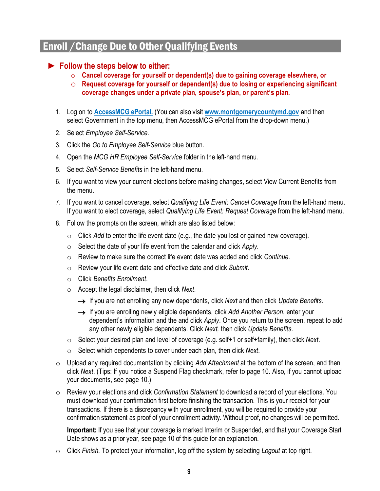## Enroll /Change Due to Other Qualifying Events

#### ► **Follow the steps below to either:**

- o **Cancel coverage for yourself or dependent(s) due to gaining coverage elsewhere, or**
- o **Request coverage for yourself or dependent(s) due to losing or experiencing significant coverage changes under a private plan, spouse's plan, or parent's plan.**
- 1. Log on to **[AccessMCG ePortal.](https://ex01.montgomerycountymd.gov/cas/login?service=https%3a%2f%2fex01.montgomerycountymd.gov%2feportal)** (You can also visit **[www.montgomerycountymd.gov](http://www.montgomerycountymd.gov/)** and then select Government in the top menu, then AccessMCG ePortal from the drop-down menu.)
- 2. Select *Employee Self-Service*.
- 3. Click the *Go to Employee Self-Service* blue button.
- 4. Open the *MCG HR Employee Self-Service* folder in the left-hand menu.
- 5. Select *Self-Service Benefits* in the left-hand menu.
- 6. If you want to view your current elections before making changes, select View Current Benefits from the menu.
- 7. If you want to cancel coverage, select *Qualifying Life Event: Cancel Coverage* from the left-hand menu. If you want to elect coverage, select *Qualifying Life Event: Request Coverage* from the left-hand menu.
- 8. Follow the prompts on the screen, which are also listed below:
	- o Click *Add* to enter the life event date (e.g., the date you lost or gained new coverage).
	- o Select the date of your life event from the calendar and click *Apply.*
	- o Review to make sure the correct life event date was added and click *Continue*.
	- o Review your life event date and effective date and click *Submit*.
	- o Click *Benefits Enrollment*.
	- o Accept the legal disclaimer, then click *Next*.
		- → If you are not enrolling any new dependents, click *Next* and then click *Update Benefits*.
		- → If you are enrolling newly eligible dependents, click *Add Another Person*, enter your dependent's information and the and click *Apply*. Once you return to the screen, repeat to add any other newly eligible dependents. Click *Next,* then click *Update Benefits*.
	- o Select your desired plan and level of coverage (e.g. self+1 or self+family), then click *Next*.
	- o Select which dependents to cover under each plan, then click *Next*.
- o Upload any required documentation by clicking *Add Attachment* at the bottom of the screen, and then click *Next*. (Tips: If you notice a Suspend Flag checkmark, refer to page 10. Also, if you cannot upload your documents, see page 10.)
- o Review your elections and click *Confirmation Statement* to download a record of your elections. You must download your confirmation first before finishing the transaction. This is your receipt for your transactions. If there is a discrepancy with your enrollment, you will be required to provide your confirmation statement as proof of your enrollment activity. Without proof, no changes will be permitted.

**Important:** If you see that your coverage is marked Interim or Suspended, and that your Coverage Start Date shows as a prior year, see page 10 of this guide for an explanation.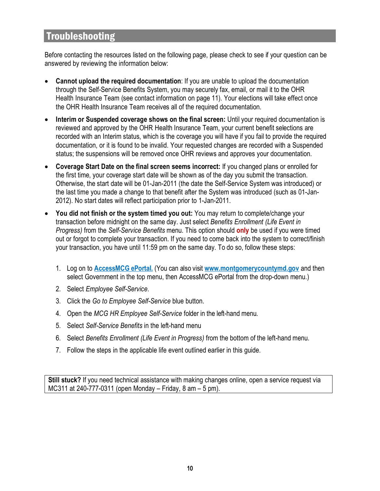## Troubleshooting

Before contacting the resources listed on the following page, please check to see if your question can be answered by reviewing the information below:

- **Cannot upload the required documentation**: If you are unable to upload the documentation through the Self-Service Benefits System, you may securely fax, email, or mail it to the OHR Health Insurance Team (see contact information on page 11). Your elections will take effect once the OHR Health Insurance Team receives all of the required documentation.
- **Interim or Suspended coverage shows on the final screen:** Until your required documentation is reviewed and approved by the OHR Health Insurance Team, your current benefit selections are recorded with an Interim status, which is the coverage you will have if you fail to provide the required documentation, or it is found to be invalid. Your requested changes are recorded with a Suspended status; the suspensions will be removed once OHR reviews and approves your documentation.
- **Coverage Start Date on the final screen seems incorrect:** If you changed plans or enrolled for the first time, your coverage start date will be shown as of the day you submit the transaction. Otherwise, the start date will be 01-Jan-2011 (the date the Self-Service System was introduced) or the last time you made a change to that benefit after the System was introduced (such as 01-Jan-2012). No start dates will reflect participation prior to 1-Jan-2011.
- **You did not finish or the system timed you out:** You may return to complete/change your transaction before midnight on the same day. Just select *Benefits Enrollment (Life Event in Progress)* from the *Self-Service Benefits* menu. This option should **only** be used if you were timed out or forgot to complete your transaction. If you need to come back into the system to correct/finish your transaction, you have until 11:59 pm on the same day. To do so, follow these steps:
	- 1. Log on to **[AccessMCG ePortal.](https://ex01.montgomerycountymd.gov/cas/login?service=https%3a%2f%2fex01.montgomerycountymd.gov%2feportal)** (You can also visit **[www.montgomerycountymd.gov](http://www.montgomerycountymd.gov/)** and then select Government in the top menu, then AccessMCG ePortal from the drop-down menu.)
	- 2. Select *Employee Self-Service*.
	- 3. Click the *Go to Employee Self-Service* blue button.
	- 4. Open the *MCG HR Employee Self-Service* folder in the left-hand menu.
	- 5. Select *Self-Service Benefits* in the left-hand menu
	- 6. Select *Benefits Enrollment (Life Event in Progress)* from the bottom of the left-hand menu.
	- 7. Follow the steps in the applicable life event outlined earlier in this guide.

**Still stuck?** If you need technical assistance with making changes online, open a service request via MC311 at 240-777-0311 (open Monday – Friday, 8 am – 5 pm).